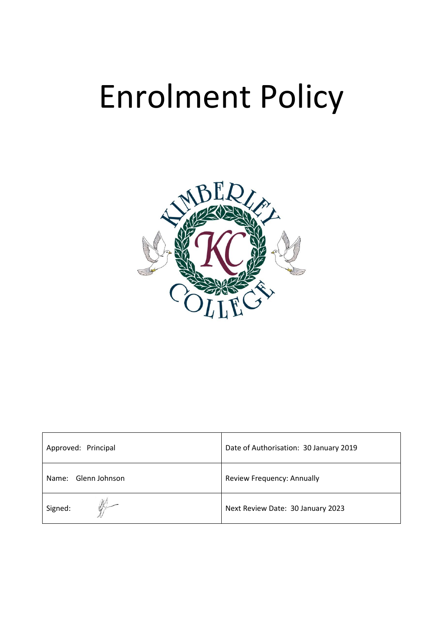# Enrolment Policy



| Approved: Principal    | Date of Authorisation: 30 January 2019 |
|------------------------|----------------------------------------|
| Glenn Johnson<br>Name: | Review Frequency: Annually             |
| Signed:                | Next Review Date: 30 January 2023      |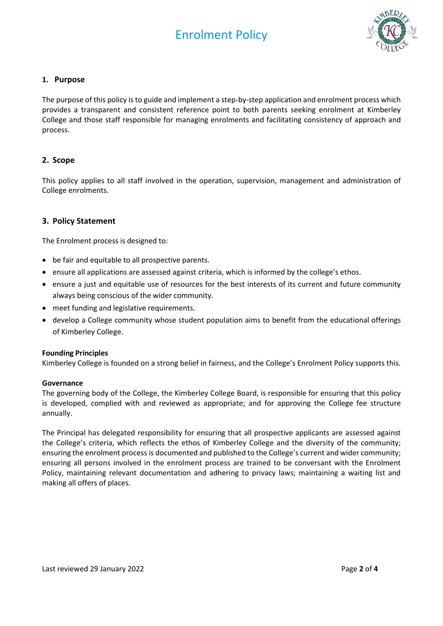

## **1. Purpose**

The purpose of this policy is to guide and implement a step-by-step application and enrolment process which provides a transparent and consistent reference point to both parents seeking enrolment at Kimberley College and those staff responsible for managing enrolments and facilitating consistency of approach and process.

# **2. Scope**

This policy applies to all staff involved in the operation, supervision, management and administration of College enrolments.

### **3. Policy Statement**

The Enrolment process is designed to:

- be fair and equitable to all prospective parents.
- ensure all applications are assessed against criteria, which is informed by the college's ethos.
- ensure a just and equitable use of resources for the best interests of its current and future community always being conscious of the wider community.
- meet funding and legislative requirements.
- develop a College community whose student population aims to benefit from the educational offerings of Kimberley College.

#### **Founding Principles**

Kimberley College is founded on a strong belief in fairness, and the College's Enrolment Policy supports this.

#### **Governance**

The governing body of the College, the Kimberley College Board, is responsible for ensuring that this policy is developed, complied with and reviewed as appropriate; and for approving the College fee structure annually.

The Principal has delegated responsibility for ensuring that all prospective applicants are assessed against the College's criteria, which reflects the ethos of Kimberley College and the diversity of the community; ensuring the enrolment process is documented and published to the College's current and wider community; ensuring all persons involved in the enrolment process are trained to be conversant with the Enrolment Policy, maintaining relevant documentation and adhering to privacy laws; maintaining a waiting list and making all offers of places.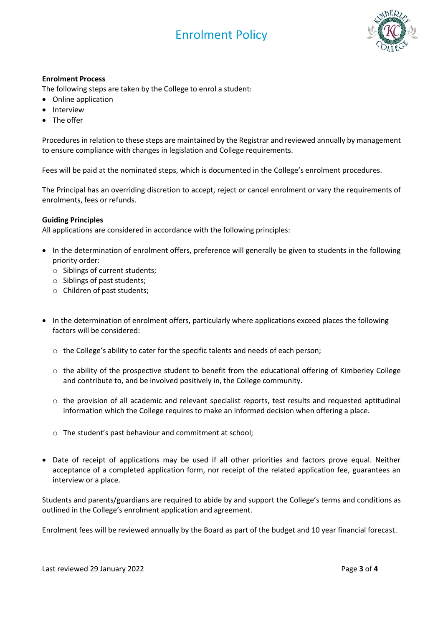# Enrolment Policy



#### **Enrolment Process**

The following steps are taken by the College to enrol a student:

- Online application
- Interview
- The offer

Procedures in relation to these steps are maintained by the Registrar and reviewed annually by management to ensure compliance with changes in legislation and College requirements.

Fees will be paid at the nominated steps, which is documented in the College's enrolment procedures.

The Principal has an overriding discretion to accept, reject or cancel enrolment or vary the requirements of enrolments, fees or refunds.

#### **Guiding Principles**

All applications are considered in accordance with the following principles:

- In the determination of enrolment offers, preference will generally be given to students in the following priority order:
	- o Siblings of current students;
	- o Siblings of past students;
	- o Children of past students;
- In the determination of enrolment offers, particularly where applications exceed places the following factors will be considered:
	- $\circ$  the College's ability to cater for the specific talents and needs of each person;
	- $\circ$  the ability of the prospective student to benefit from the educational offering of Kimberley College and contribute to, and be involved positively in, the College community.
	- $\circ$  the provision of all academic and relevant specialist reports, test results and requested aptitudinal information which the College requires to make an informed decision when offering a place.
	- o The student's past behaviour and commitment at school;
- Date of receipt of applications may be used if all other priorities and factors prove equal. Neither acceptance of a completed application form, nor receipt of the related application fee, guarantees an interview or a place.

Students and parents/guardians are required to abide by and support the College's terms and conditions as outlined in the College's enrolment application and agreement.

Enrolment fees will be reviewed annually by the Board as part of the budget and 10 year financial forecast.